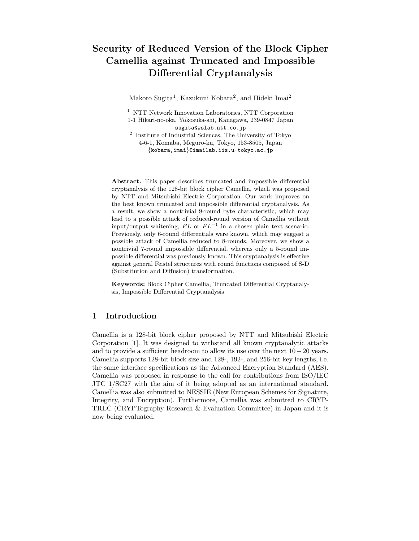# Security of Reduced Version of the Block Cipher Camellia against Truncated and Impossible Differential Cryptanalysis

Makoto Sugita<sup>1</sup>, Kazukuni Kobara<sup>2</sup>, and Hideki Imai<sup>2</sup>

<sup>1</sup> NTT Network Innovation Laboratories, NTT Corporation 1-1 Hikari-no-oka, Yokosuka-shi, Kanagawa, 239-0847 Japan sugita@wslab.ntt.co.jp 2 Institute of Industrial Sciences, The University of Tokyo 4-6-1, Komaba, Meguro-ku, Tokyo, 153-8505, Japan {kobara,imai}@imailab.iis.u-tokyo.ac.jp

Abstract. This paper describes truncated and impossible differential cryptanalysis of the 128-bit block cipher Camellia, which was proposed by NTT and Mitsubishi Electric Corporation. Our work improves on the best known truncated and impossible differential cryptanalysis. As a result, we show a nontrivial 9-round byte characteristic, which may lead to a possible attack of reduced-round version of Camellia without input/output whitening,  $FL$  or  $FL^{-1}$  in a chosen plain text scenario. Previously, only 6-round differentials were known, which may suggest a possible attack of Camellia reduced to 8-rounds. Moreover, we show a nontrivial 7-round impossible differential, whereas only a 5-round impossible differential was previously known. This cryptanalysis is effective against general Feistel structures with round functions composed of S-D (Substitution and Diffusion) transformation.

Keywords: Block Cipher Camellia, Truncated Differential Cryptanalysis, Impossible Differential Cryptanalysis

# 1 Introduction

Camellia is a 128-bit block cipher proposed by NTT and Mitsubishi Electric Corporation [1]. It was designed to withstand all known cryptanalytic attacks and to provide a sufficient headroom to allow its use over the next  $10-20$  years. Camellia supports 128-bit block size and 128-, 192-, and 256-bit key lengths, i.e. the same interface specifications as the Advanced Encryption Standard (AES). Camellia was proposed in response to the call for contributions from ISO/IEC JTC 1/SC27 with the aim of it being adopted as an international standard. Camellia was also submitted to NESSIE (New European Schemes for Signature, Integrity, and Encryption). Furthermore, Camellia was submitted to CRYP-TREC (CRYPTography Research & Evaluation Committee) in Japan and it is now being evaluated.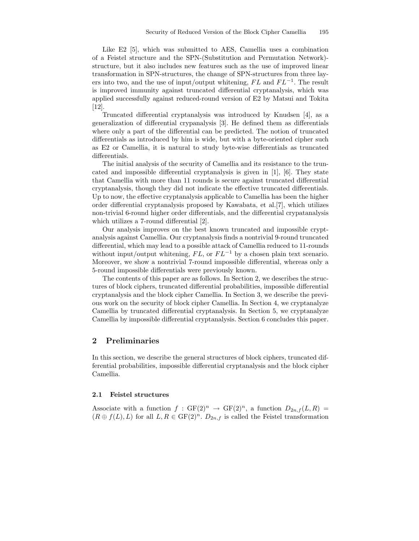Like E2 [5], which was submitted to AES, Camellia uses a combination of a Feistel structure and the SPN-(Substitution and Permutation Network) structure, but it also includes new features such as the use of improved linear transformation in SPN-structures, the change of SPN-structures from three layers into two, and the use of input/output whitening,  $FL$  and  $FL^{-1}$ . The result is improved immunity against truncated differential cryptanalysis, which was applied successfully against reduced-round version of E2 by Matsui and Tokita [12].

Truncated differential cryptanalysis was introduced by Knudsen [4], as a generalization of differential crypanalysis [3]. He defined them as differentials where only a part of the differential can be predicted. The notion of truncated differentials as introduced by him is wide, but with a byte-oriented cipher such as E2 or Camellia, it is natural to study byte-wise differentials as truncated differentials.

The initial analysis of the security of Camellia and its resistance to the truncated and impossible differential cryptanalysis is given in [1], [6]. They state that Camellia with more than 11 rounds is secure against truncated differential cryptanalysis, though they did not indicate the effective truncated differentials. Up to now, the effective cryptanalysis applicable to Camellia has been the higher order differential cryptanalysis proposed by Kawabata, et al.[7], which utilizes non-trivial 6-round higher order differentials, and the differential crypatanalysis which utilizes a 7-round differential [2].

Our analysis improves on the best known truncated and impossible cryptanalysis against Camellia. Our cryptanalysis finds a nontrivial 9-round truncated differential, which may lead to a possible attack of Camellia reduced to 11-rounds without input/output whitening,  $FL$ , or  $FL^{-1}$  by a chosen plain text scenario. Moreover, we show a nontrivial 7-round impossible differential, whereas only a 5-round impossible differentials were previously known.

The contents of this paper are as follows. In Section 2, we describes the structures of block ciphers, truncated differential probabilities, impossible differential cryptanalysis and the block cipher Camellia. In Section 3, we describe the previous work on the security of block cipher Camellia. In Section 4, we cryptanalyze Camellia by truncated differential cryptanalysis. In Section 5, we cryptanalyze Camellia by impossible differential cryptanalysis. Section 6 concludes this paper.

### 2 Preliminaries

In this section, we describe the general structures of block ciphers, truncated differential probabilities, impossible differential cryptanalysis and the block cipher Camellia.

### 2.1 Feistel structures

Associate with a function  $f : GF(2)^n \to GF(2)^n$ , a function  $D_{2n,f}(L, R) =$  $(R \oplus f(L), L)$  for all  $L, R \in \mathrm{GF}(2)^n$ .  $D_{2n,f}$  is called the Feistel transformation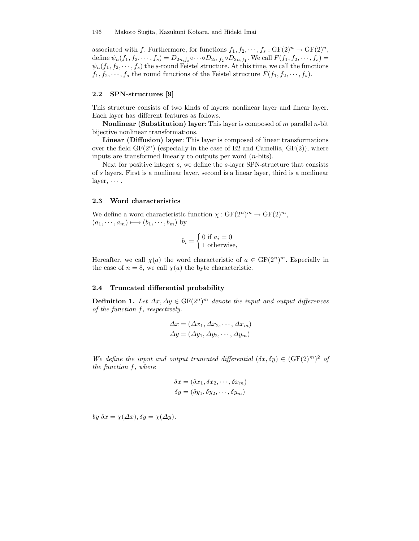associated with f. Furthermore, for functions  $f_1, f_2, \dots, f_s : GF(2)^n \to GF(2)^n$ , define  $\psi_n(f_1, f_2, \dots, f_s) = D_{2n, f_s} \circ \dots \circ D_{2n, f_2} \circ D_{2n, f_1}$ . We call  $F(f_1, f_2, \dots, f_s) =$  $\psi_n(f_1, f_2, \dots, f_s)$  the s-round Feistel structure. At this time, we call the functions  $f_1, f_2, \dots, f_s$  the round functions of the Feistel structure  $F(f_1, f_2, \dots, f_s)$ .

### 2.2 SPN-structures [9]

This structure consists of two kinds of layers: nonlinear layer and linear layer. Each layer has different features as follows.

**Nonlinear (Substitution) layer:** This layer is composed of  $m$  parallel  $n$ -bit bijective nonlinear transformations.

Linear (Diffusion) layer: This layer is composed of linear transformations over the field  $GF(2^n)$  (especially in the case of E2 and Camellia,  $GF(2)$ ), where inputs are transformed linearly to outputs per word  $(n\text{-bits})$ .

Next for positive integer s, we define the s-layer SPN-structure that consists of s layers. First is a nonlinear layer, second is a linear layer, third is a nonlinear layer,  $\cdots$ .

#### 2.3 Word characteristics

We define a word characteristic function  $\chi : GF(2^n)^m \to GF(2)^m$ ,  $(a_1, \dots, a_m) \longmapsto (b_1, \dots, b_m)$  by

$$
b_i = \begin{cases} 0 \text{ if } a_i = 0 \\ 1 \text{ otherwise,} \end{cases}
$$

Hereafter, we call  $\chi(a)$  the word characteristic of  $a \in \mathrm{GF}(2^n)^m$ . Especially in the case of  $n = 8$ , we call  $\chi(a)$  the byte characteristic.

#### 2.4 Truncated differential probability

**Definition 1.** Let  $\Delta x, \Delta y \in \text{GF}(2^n)^m$  denote the input and output differences of the function f, respectively.

$$
\Delta x = (\Delta x_1, \Delta x_2, \cdots, \Delta x_m)
$$
  

$$
\Delta y = (\Delta y_1, \Delta y_2, \cdots, \Delta y_m)
$$

We define the input and output truncated differential  $(\delta x, \delta y) \in (\text{GF}(2)^m)^2$  of the function f, where

$$
\delta x = (\delta x_1, \delta x_2, \cdots, \delta x_m)
$$

$$
\delta y = (\delta y_1, \delta y_2, \cdots, \delta y_m)
$$

by  $\delta x = \chi(\Delta x), \delta y = \chi(\Delta y).$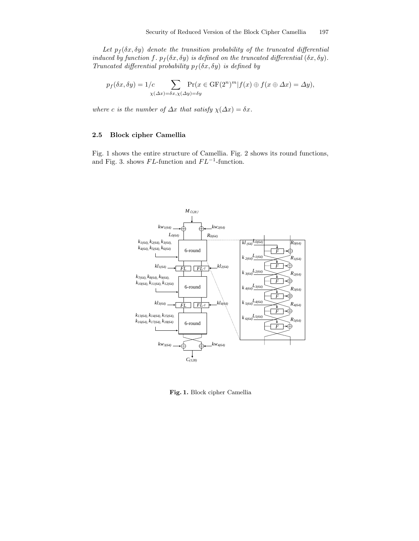Let  $p_f(\delta x, \delta y)$  denote the transition probability of the truncated differential induced by function f.  $p_f(\delta x, \delta y)$  is defined on the truncated differential  $(\delta x, \delta y)$ . Truncated differential probability  $p_f(\delta x, \delta y)$  is defined by

$$
p_f(\delta x, \delta y) = 1/c \sum_{\chi(\Delta x) = \delta x, \chi(\Delta y) = \delta y} \Pr(x \in \mathrm{GF}(2^n)^m | f(x) \oplus f(x \oplus \Delta x) = \Delta y),
$$

where c is the number of  $\Delta x$  that satisfy  $\chi(\Delta x) = \delta x$ .

# 2.5 Block cipher Camellia

Fig. 1 shows the entire structure of Camellia. Fig. 2 shows its round functions, and Fig. 3. shows  $FL$ -function and  $FL^{-1}$ -function.



Fig. 1. Block cipher Camellia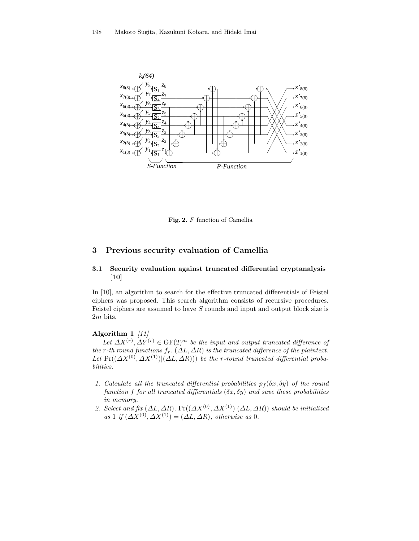

Fig. 2. F function of Camellia

# 3 Previous security evaluation of Camellia

# 3.1 Security evaluation against truncated differential cryptanalysis [10]

In [10], an algorithm to search for the effective truncated differentials of Feistel ciphers was proposed. This search algorithm consists of recursive procedures. Feistel ciphers are assumed to have  $S$  rounds and input and output block size is 2m bits.

# Algorithm 1 [11]

Let  $\Delta X^{(r)}$ ,  $\Delta Y^{(r)} \in \text{GF}(2)^m$  be the input and output truncated difference of the r-th round functions  $f_r$ . ( $\Delta L$ ,  $\Delta R$ ) is the truncated difference of the plaintext. Let  $Pr((\Delta X^{(0)}, \Delta X^{(1)}) | (\Delta L, \Delta R))$  be the r-round truncated differential probabilities.

- 1. Calculate all the truncated differential probabilities  $p_f(\delta x, \delta y)$  of the round function f for all truncated differentials  $(\delta x, \delta y)$  and save these probabilities in memory.
- 2. Select and fix  $(\Delta L, \Delta R)$ . Pr $((\Delta X^{(0)}, \Delta X^{(1)}) | (\Delta L, \Delta R))$  should be initialized as 1 if  $(\Delta X^{(0)}, \Delta X^{(1)}) = (\Delta L, \Delta R)$ , otherwise as 0.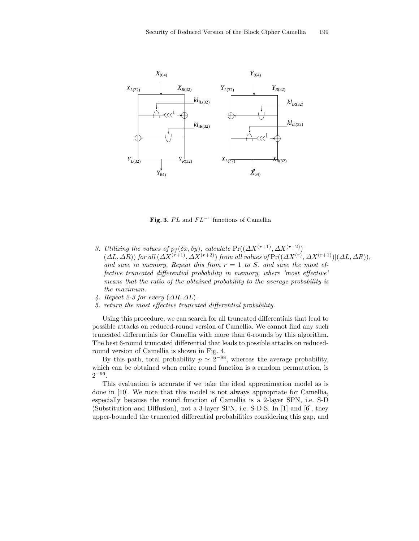

Fig. 3.  $FL$  and  $FL^{-1}$  functions of Camellia

- 3. Utilizing the values of  $p_f(\delta x, \delta y)$ , calculate  $Pr((\Delta X^{(r+1)}, \Delta X^{(r+2)})$  $(\Delta L, \Delta R)$  for all  $(\Delta X^{(r+1)}, \Delta X^{(r+2)})$  from all values of  $Pr((\Delta X^{(r)}, \Delta X^{(r+1)})|(\Delta L, \Delta R))$ , and save in memory. Repeat this from  $r = 1$  to S. and save the most effective truncated differential probability in memory, where 'most effective' means that the ratio of the obtained probability to the average probability is the maximum.
- 4. Repeat 2-3 for every  $(\Delta R, \Delta L)$ .
- 5. return the most effective truncated differential probability.

Using this procedure, we can search for all truncated differentials that lead to possible attacks on reduced-round version of Camellia. We cannot find any such truncated differentials for Camellia with more than 6-rounds by this algorithm. The best 6-round truncated differential that leads to possible attacks on reducedround version of Camellia is shown in Fig. 4.

By this path, total probability  $p \simeq 2^{-88}$ , whereas the average probability, which can be obtained when entire round function is a random permutation, is  $2^{-96}$ .

This evaluation is accurate if we take the ideal approximation model as is done in [10]. We note that this model is not always appropriate for Camellia, especially because the round function of Camellia is a 2-layer SPN, i.e. S-D (Substitution and Diffusion), not a 3-layer SPN, i.e. S-D-S. In [1] and [6], they upper-bounded the truncated differential probabilities considering this gap, and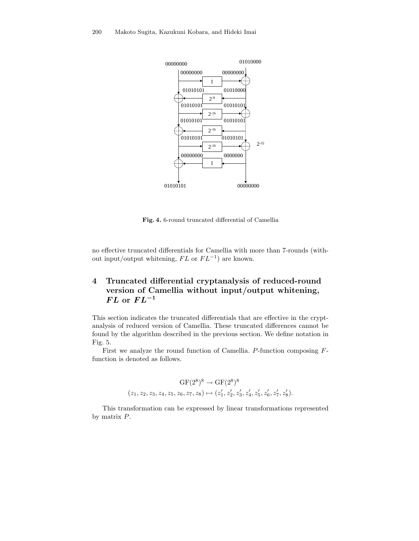

Fig. 4. 6-round truncated differential of Camellia

no effective truncated differentials for Camellia with more than 7-rounds (without input/output whitening,  $FL$  or  $FL^{-1}$ ) are known.

# 4 Truncated differential cryptanalysis of reduced-round version of Camellia without input/output whitening,  $FL$  or  $FL^{-1}$

This section indicates the truncated differentials that are effective in the cryptanalysis of reduced version of Camellia. These truncated differences cannot be found by the algorithm described in the previous section. We define notation in Fig. 5.

First we analyze the round function of Camellia. P-function composing Ffunction is denoted as follows.

$$
\begin{aligned} \mathrm{GF}(2^8)^8 \rightarrow \mathrm{GF}(2^8)^8 \\ (z_1, z_2, z_3, z_4, z_5, z_6, z_7, z_8) \mapsto (z_1', z_2', z_3', z_4', z_5', z_6', z_7', z_8'). \end{aligned}
$$

This transformation can be expressed by linear transformations represented by matrix P.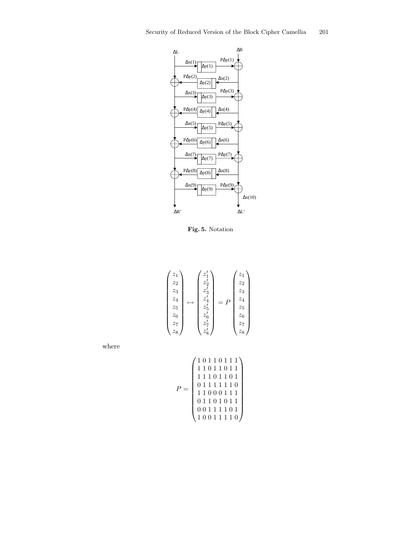

Fig. 5. Notation

| $\overline{z_1}$<br>$\mathstrut z_2$<br>$z_3$ |  | $z'_1$<br>$z_{2}^{\prime}$<br>$z^\prime_3$ |                       | $\overline{z}_1$<br>$\scriptstyle z_{2}$<br>$\overline{z_3}$ |
|-----------------------------------------------|--|--------------------------------------------|-----------------------|--------------------------------------------------------------|
| $\mathcal{Z}_4$<br>$z_{5}$                    |  | $z_{4}'$<br>$z'_{5}$                       | $\boldsymbol{P}$<br>= | $\overline{z_4}$<br>$z_{5}$                                  |
| $z_6$<br>$\mathcal{Z} _7$<br>$z_8$            |  | $z'_6$<br>$z_{\tau}'$<br>$z_8^{\cdot}$     |                       | $\overline{z}_6$<br>$\mathcal{Z} _7$<br>$z_8$                |

where

$$
P = \left(\begin{array}{rrrr} 1&0&1&1&0&1&1&1\\ 1&1&0&1&1&0&1&1\\ 1&1&1&0&1&1&0&1\\ 0&1&1&1&1&1&1&0\\ 1&1&0&0&0&1&1&1\\ 0&1&1&0&1&0&1&1\\ 0&0&1&1&1&1&0&1\\ 1&0&0&1&1&1&1&0 \end{array}\right)
$$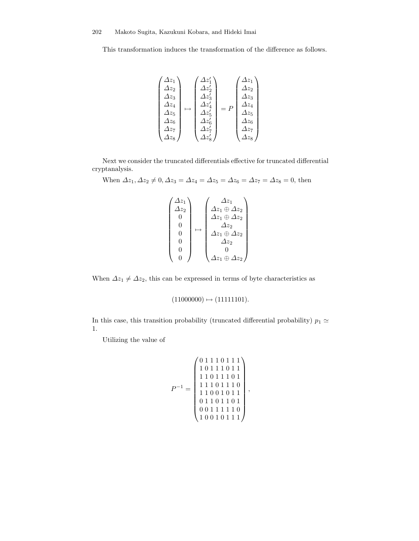This transformation induces the transformation of the difference as follows.

$$
\begin{pmatrix}\n\Delta z_1 \\
\Delta z_2 \\
\Delta z_3 \\
\Delta z_4 \\
\Delta z_5 \\
\Delta z_6 \\
\Delta z_7 \\
\Delta z_8\n\end{pmatrix}\n\mapsto\n\begin{pmatrix}\n\Delta z'_1 \\
\Delta z'_2 \\
\Delta z'_3 \\
\Delta z'_4 \\
\Delta z'_5 \\
\Delta z'_6 \\
\Delta z'_7 \\
\Delta z'_8\n\end{pmatrix}\n=\nP\n\begin{pmatrix}\n\Delta z_1 \\
\Delta z_2 \\
\Delta z_3 \\
\Delta z_4 \\
\Delta z_5 \\
\Delta z_6 \\
\Delta z_7 \\
\Delta z_8\n\end{pmatrix}
$$

Next we consider the truncated differentials effective for truncated differential cryptanalysis.

When  $\Delta z_1, \Delta z_2 \neq 0, \Delta z_3 = \Delta z_4 = \Delta z_5 = \Delta z_6 = \Delta z_7 = \Delta z_8 = 0$ , then

$$
\begin{pmatrix}\n\Delta z_1 \\
\Delta z_2 \\
0 \\
0 \\
0 \\
0 \\
0 \\
0\n\end{pmatrix}\n\mapsto\n\begin{pmatrix}\n\Delta z_1 \\
\Delta z_1 \oplus \Delta z_2 \\
\Delta z_1 \oplus \Delta z_2 \\
\Delta z_1 \oplus \Delta z_2 \\
\Delta z_2 \\
0 \\
\Delta z_1 \oplus \Delta z_2\n\end{pmatrix}
$$

When  $\Delta z_1 \neq \Delta z_2$ , this can be expressed in terms of byte characteristics as

$$
(11000000) \mapsto (11111101).
$$

In this case, this transition probability (truncated differential probability)  $p_1 \simeq$ 1.

Utilizing the value of

$$
P^{-1} = \begin{pmatrix} 0 & 1 & 1 & 1 & 0 & 1 & 1 & 1 \\ 1 & 0 & 1 & 1 & 1 & 0 & 1 & 1 \\ 1 & 1 & 0 & 1 & 1 & 1 & 0 & 1 \\ 1 & 1 & 1 & 0 & 1 & 1 & 1 & 0 \\ 1 & 1 & 0 & 0 & 1 & 0 & 1 & 1 \\ 0 & 1 & 1 & 0 & 1 & 0 & 1 & 0 \\ 0 & 0 & 1 & 1 & 1 & 1 & 1 & 0 \\ 1 & 0 & 0 & 1 & 0 & 1 & 1 & 1 \end{pmatrix},
$$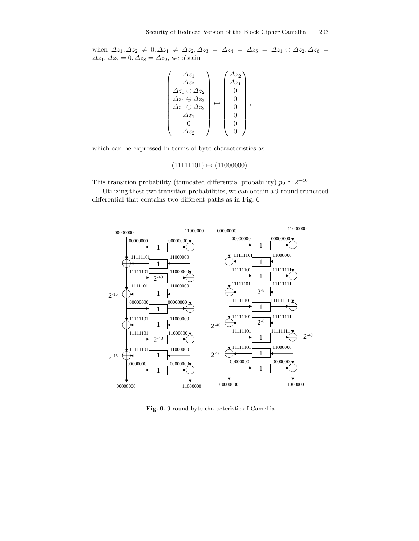when  $\Delta z_1, \Delta z_2 \neq 0, \Delta z_1 \neq \Delta z_2, \Delta z_3 = \Delta z_4 = \Delta z_5 = \Delta z_1 \oplus \Delta z_2, \Delta z_6 =$  $\Delta z_1, \Delta z_7 = 0, \Delta z_8 = \Delta z_2$ , we obtain

$$
\begin{pmatrix}\n\Delta z_1 \\
\Delta z_2 \\
\Delta z_1 \oplus \Delta z_2 \\
\Delta z_1 \oplus \Delta z_2 \\
\Delta z_1 \oplus \Delta z_2 \\
\Delta z_1 \\
0 \\
0 \\
0 \\
\Delta z_2\n\end{pmatrix} \mapsto \begin{pmatrix}\n\Delta z_2 \\
\Delta z_1 \\
0 \\
0 \\
0 \\
0 \\
0 \\
0\n\end{pmatrix},
$$

which can be expressed in terms of byte characteristics as

 $(111111101) \mapsto (11000000).$ 

This transition probability (truncated differential probability)  $p_2 \simeq 2^{-40}$ 

Utilizing these two transition probabilities, we can obtain a 9-round truncated differential that contains two different paths as in Fig. 6



Fig. 6. 9-round byte characteristic of Camellia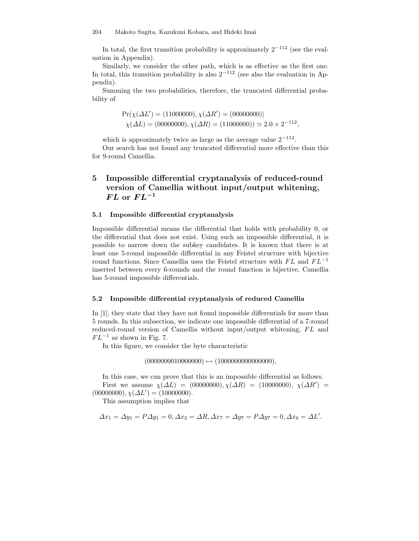In total, the first transition probability is approximately  $2^{-112}$  (see the evaluation in Appendix).

Similarly, we consider the other path, which is as effective as the first one. In total, this transition probability is also  $2^{-112}$  (see also the evaluation in Appendix).

Summing the two probabilities, therefore, the truncated differential probability of

$$
Pr(\chi(\Delta L') = (11000000), \chi(\Delta R') = (000000000)
$$
  

$$
\chi(\Delta L) = (00000000), \chi(\Delta R) = (11000000)
$$

$$
\approx 2.0 \times 2^{-112},
$$

which is approximately twice as large as the average value  $2^{-112}$ .

Our search has not found any truncated differential more effective than this for 9-round Camellia.

# 5 Impossible differential cryptanalysis of reduced-round version of Camellia without input/output whitening,  $FL$  or  $FL^{-1}$

### 5.1 Impossible differential cryptanalysis

Impossible differential means the differential that holds with probability 0, or the differential that does not exist. Using such an impossible differential, it is possible to narrow down the subkey candidates. It is known that there is at least one 5-round impossible differential in any Feistel structure with bijective round functions. Since Camellia uses the Feistel structure with  $FL$  and  $FL^{-1}$ inserted between every 6-rounds and the round function is bijective, Camellia has 5-round impossible differentials.

#### 5.2 Impossible differential cryptanalysis of reduced Camellia

In [1], they state that they have not found impossible differentials for more than 5 rounds. In this subsection, we indicate one impossible differential of a 7-round reduced-round version of Camellia without input/output whitening, FL and  $FL^{-1}$  as shown in Fig. 7.

In this figure, we consider the byte characteristic

 $(0000000010000000) \mapsto (1000000000000000),$ 

In this case, we can prove that this is an impossible differential as follows. First we assume  $\chi(\Delta L) = (00000000), \chi(\Delta R) = (10000000), \chi(\Delta R') =$  $(00000000), \chi(\Delta L') = (10000000).$ 

This assumption implies that

$$
\Delta x_1 = \Delta y_1 = P \Delta y_1 = 0, \Delta x_2 = \Delta R, \Delta x_7 = \Delta y_7 = P \Delta y_7 = 0, \Delta x_6 = \Delta L'.
$$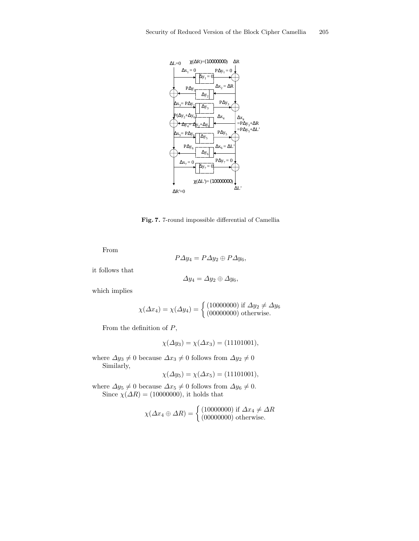

Fig. 7. 7-round impossible differential of Camellia

From

$$
P\varDelta y_4 = P\varDelta y_2 \oplus P\varDelta y_6,
$$

it follows that

$$
\Delta y_4 = \Delta y_2 \oplus \Delta y_6,
$$

which implies

$$
\chi(\Delta x_4) = \chi(\Delta y_4) = \begin{cases} (10000000) & \text{if } \Delta y_2 \neq \Delta y_6 \\ (00000000) & \text{otherwise.} \end{cases}
$$

From the definition of  $P$ ,

$$
\chi(\Delta y_3) = \chi(\Delta x_3) = (11101001),
$$

where  $\varDelta y_{3}\neq 0$  because  $\varDelta x_{3}\neq 0$  follows from  $\varDelta y_{2}\neq 0$ Similarly,

$$
\chi(\Delta y_5) = \chi(\Delta x_5) = (11101001),
$$

where  $\Delta y_5 \neq 0$  because  $\Delta x_5 \neq 0$  follows from  $\Delta y_6 \neq 0$ . Since  $\chi(\Delta R) = (10000000)$ , it holds that

$$
\chi(\Delta x_4 \oplus \Delta R) = \begin{cases} (10000000) \text{ if } \Delta x_4 \neq \Delta R \\ (00000000) \text{ otherwise.} \end{cases}
$$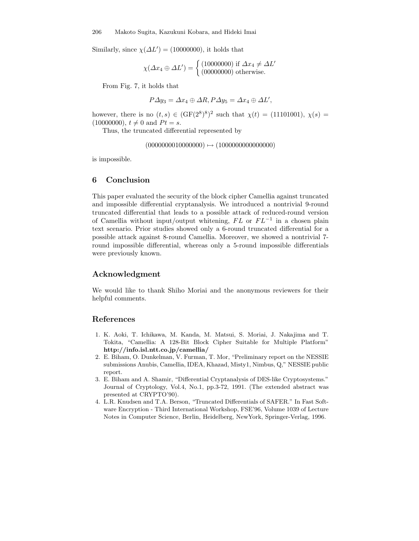Similarly, since  $\chi(\Delta L') = (10000000)$ , it holds that

$$
\chi(\Delta x_4 \oplus \Delta L') = \begin{cases} (10000000) \text{ if } \Delta x_4 \neq \Delta L'\\ (00000000) \text{ otherwise.} \end{cases}
$$

From Fig. 7, it holds that

$$
P \Delta y_3 = \Delta x_4 \oplus \Delta R, P \Delta y_5 = \Delta x_4 \oplus \Delta L',
$$

however, there is no  $(t,s) \in (\text{GF}(2^8)^8)^2$  such that  $\chi(t) = (11101001), \chi(s) =$  $(10000000), t \neq 0$  and  $Pt = s$ .

Thus, the truncated differential represented by

 $(0000000010000000) \mapsto (1000000000000000)$ 

is impossible.

### 6 Conclusion

This paper evaluated the security of the block cipher Camellia against truncated and impossible differential cryptanalysis. We introduced a nontrivial 9-round truncated differential that leads to a possible attack of reduced-round version of Camellia without input/output whitening,  $FL$  or  $FL^{-1}$  in a chosen plain text scenario. Prior studies showed only a 6-round truncated differential for a possible attack against 8-round Camellia. Moreover, we showed a nontrivial 7 round impossible differential, whereas only a 5-round impossible differentials were previously known.

# Acknowledgment

We would like to thank Shiho Moriai and the anonymous reviewers for their helpful comments.

### References

- 1. K. Aoki, T. Ichikawa, M. Kanda, M. Matsui, S. Moriai, J. Nakajima and T. Tokita, "Camellia: A 128-Bit Block Cipher Suitable for Multiple Platform" http://info.isl.ntt.co.jp/camellia/
- 2. E. Biham, O. Dunkelman, V. Furman, T. Mor, "Preliminary report on the NESSIE submissions Anubis, Camellia, IDEA, Khazad, Misty1, Nimbus, Q," NESSIE public report.
- 3. E. Biham and A. Shamir, "Differential Cryptanalysis of DES-like Cryptosystems." Journal of Cryptology, Vol.4, No.1, pp.3-72, 1991. (The extended abstract was presented at CRYPTO'90).
- 4. L.R. Knudsen and T.A. Berson, "Truncated Differentials of SAFER." In Fast Software Encryption - Third International Workshop, FSE'96, Volume 1039 of Lecture Notes in Computer Science, Berlin, Heidelberg, NewYork, Springer-Verlag, 1996.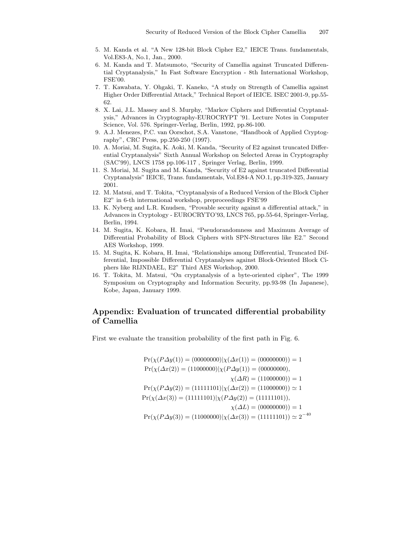- 5. M. Kanda et al. "A New 128-bit Block Cipher E2," IEICE Trans. fundamentals, Vol.E83-A, No.1, Jan., 2000.
- 6. M. Kanda and T. Matsumoto, "Security of Camellia against Truncated Differential Cryptanalysis," In Fast Software Encryption - 8th International Workshop, FSE'00.
- 7. T. Kawabata, Y. Ohgaki, T. Kaneko, "A study on Strength of Camellia against Higher Order Differential Attack," Technical Report of IEICE. ISEC 2001-9, pp.55- 62.
- 8. X. Lai, J.L. Massey and S. Murphy, "Markov Ciphers and Differential Cryptanalysis," Advances in Cryptography-EUROCRYPT '91. Lecture Notes in Computer Science, Vol. 576. Springer-Verlag, Berlin, 1992, pp.86-100.
- 9. A.J. Menezes, P.C. van Oorschot, S.A. Vanstone, "Handbook of Applied Cryptography", CRC Press, pp.250-250 (1997).
- 10. A. Moriai, M. Sugita, K. Aoki, M. Kanda, "Security of E2 against truncated Differential Cryptanalysis" Sixth Annual Workshop on Selected Areas in Cryptography (SAC'99), LNCS 1758 pp.106-117 , Springer Verlag, Berlin, 1999.
- 11. S. Moriai, M. Sugita and M. Kanda, "Security of E2 against truncated Differential Cryptanalysis" IEICE, Trans. fundamentals, Vol.E84-A NO.1, pp.319-325, January 2001.
- 12. M. Matsui, and T. Tokita, "Cryptanalysis of a Reduced Version of the Block Cipher E2" in 6-th international workshop, preproceedings FSE'99
- 13. K. Nyberg and L.R. Knudsen, "Provable security against a differential attack," in Advances in Cryptology - EUROCRYTO'93, LNCS 765, pp.55-64, Springer-Verlag, Berlin, 1994.
- 14. M. Sugita, K. Kobara, H. Imai, "Pseudorandomness and Maximum Average of Differential Probability of Block Ciphers with SPN-Structures like E2." Second AES Workshop, 1999.
- 15. M. Sugita, K. Kobara, H. Imai, "Relationships among Differential, Truncated Differential, Impossible Differential Cryptanalyses against Block-Oriented Block Ciphers like RIJNDAEL, E2" Third AES Workshop, 2000.
- 16. T. Tokita, M. Matsui, "On cryptanalysis of a byte-oriented cipher", The 1999 Symposium on Cryptography and Information Security, pp.93-98 (In Japanese), Kobe, Japan, January 1999.

# Appendix: Evaluation of truncated differential probability of Camellia

First we evaluate the transition probability of the first path in Fig. 6.

$$
Pr(\chi(P\Delta y(1)) = (00000000)|\chi(\Delta x(1)) = (00000000)) = 1
$$
  
\n
$$
Pr(\chi(\Delta x(2)) = (11000000)|\chi(P\Delta y(1)) = (00000000),
$$
  
\n
$$
\chi(\Delta R) = (11000000)) = 1
$$
  
\n
$$
Pr(\chi(P\Delta y(2)) = (11111101)|\chi(\Delta x(2)) = (11000000)) \approx 1
$$
  
\n
$$
Pr(\chi(\Delta x(3)) = (11111101)|\chi(P\Delta y(2)) = (11111101)),
$$
  
\n
$$
\chi(\Delta L) = (00000000) = 1
$$
  
\n
$$
Pr(\chi(P\Delta y(3)) = (11000000)|\chi(\Delta x(3)) = (11111101)) \approx 2^{-40}
$$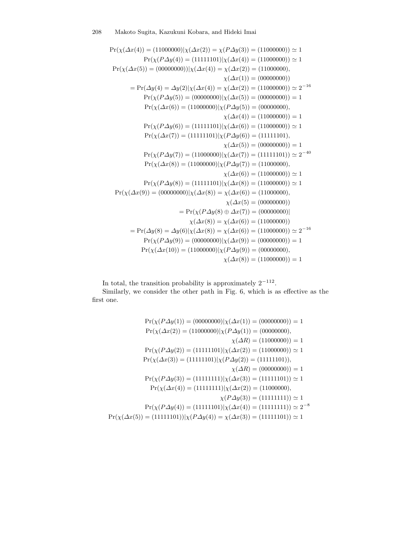$$
Pr(\chi(\Delta x(4)) = (11000000)|\chi(\Delta x(2)) = \chi(P\Delta y(3)) = (11000000)) \approx 1
$$
  
\n
$$
Pr(\chi(P\Delta y(4)) = (11111101)|\chi(\Delta x(4)) = (11000000)) \approx 1
$$
  
\n
$$
Pr(\chi(\Delta x(5)) = (00000000))|\chi(\Delta x(4)) = \chi(\Delta x(2)) = (11000000),
$$
  
\n
$$
\chi(\Delta x(1)) = (00000000)) \approx 2^{-16}
$$
  
\n
$$
Pr(\chi(P\Delta y(5)) = (00000000)|\chi(\Delta x(5)) = (00000000)) \approx 2^{-16}
$$
  
\n
$$
Pr(\chi(P\Delta y(5)) = (00000000)|\chi(P\Delta y(5)) = (000000000)) = 1
$$
  
\n
$$
Pr(\chi(\Delta x(6)) = (111000000)|\chi(P\Delta y(5)) = (000000000)
$$
  
\n
$$
\chi(\Delta x(4)) = (110000000) = 1
$$
  
\n
$$
Pr(\chi(\Delta x(7)) = (11111101)|\chi(P\Delta y(6)) = (11111101),
$$
  
\n
$$
\chi(\Delta x(5)) = (000000000) = 1
$$
  
\n
$$
Pr(\chi(P\Delta y(7)) = (11000000)|\chi(\Delta x(7)) = (11111101)) \approx 2^{-40}
$$
  
\n
$$
Pr(\chi(\Delta x(8)) = (11000000)|\chi(P\Delta y(7)) = (110000000)
$$
  
\n
$$
\chi(\Delta x(6)) = (110000000)
$$
  
\n
$$
Pr(\chi(\Delta x(9)) = (000000000)|\chi(\Delta x(8)) = \chi(\Delta x(6)) = (110000000)
$$
  
\n
$$
= Pr(\chi(P\Delta y(8)) = \chi(\Delta x(6)) = (110000000)
$$
  
\n
$$
\chi(\Delta x(5)
$$

In total, the transition probability is approximately  $2^{-112}$ .

Similarly, we consider the other path in Fig. 6, which is as effective as the first one.

$$
\Pr(\chi(P\Delta y(1)) = (00000000)|\chi(\Delta x(1)) = (00000000)) = 1
$$
  
\n
$$
\Pr(\chi(\Delta x(2)) = (11000000)|\chi(P\Delta y(1)) = (00000000),
$$
  
\n
$$
\chi(\Delta R) = (11000000)) = 1
$$
  
\n
$$
\Pr(\chi(P\Delta y(2)) = (11111101)|\chi(\Delta x(2)) = (11000000)) \approx 1
$$
  
\n
$$
\Pr(\chi(\Delta x(3)) = (11111101)|\chi(P\Delta y(2)) = (11111101)),
$$
  
\n
$$
\chi(\Delta R) = (00000000) = 1
$$
  
\n
$$
\Pr(\chi(P\Delta y(3)) = (11111111)|\chi(\Delta x(3)) = (11111101)) \approx 1
$$
  
\n
$$
\Pr(\chi(\Delta x(4)) = (11111111)|\chi(\Delta x(2)) = (11000000),
$$
  
\n
$$
\chi(P\Delta y(3)) = (11111111)) \approx 1
$$
  
\n
$$
\Pr(\chi(P\Delta y(4)) = (11111101)|\chi(\Delta x(4)) = (11111111)) \approx 2^{-8}
$$
  
\n
$$
\Pr(\chi(\Delta x(5)) = (11111101)|\chi(P\Delta y(4)) = \chi(\Delta x(3)) = (11111101)) \approx 1
$$